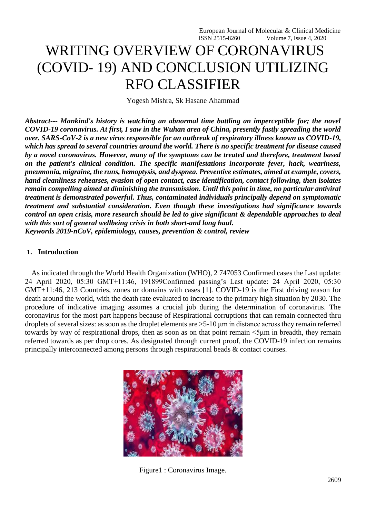# WRITING OVERVIEW OF CORONAVIRUS (COVID- 19) AND CONCLUSION UTILIZING RFO CLASSIFIER

Yogesh Mishra, Sk Hasane Ahammad

*Abstract--- Mankind's history is watching an abnormal time battling an imperceptible foe; the novel COVID-19 coronavirus. At first, I saw in the Wuhan area of China, presently fastly spreading the world over. SARS-CoV-2 is a new virus responsible for an outbreak of respiratory illness known as COVID-19, which has spread to several countries around the world. There is no specific treatment for disease caused by a novel coronavirus. However, many of the symptoms can be treated and therefore, treatment based on the patient's clinical condition. The specific manifestations incorporate fever, hack, weariness, pneumonia, migraine, the runs, hemoptysis, and dyspnea. Preventive estimates, aimed at example, covers, hand cleanliness rehearses, evasion of open contact, case identification, contact following, then isolates remain compelling aimed at diminishing the transmission. Until this point in time, no particular antiviral treatment is demonstrated powerful. Thus, contaminated individuals principally depend on symptomatic treatment and substantial consideration. Even though these investigations had significance towards control an open crisis, more research should be led to give significant & dependable approaches to deal with this sort of general wellbeing crisis in both short-and long haul.*

*Keywords 2019-nCoV, epidemiology, causes, prevention & control, review*

# **1. Introduction**

As indicated through the World Health Organization (WHO), 2 747053 Confirmed cases the Last update: 24 April 2020, 05:30 GMT+11:46, 191899Confirmed passing's Last update: 24 April 2020, 05:30 GMT+11:46, 213 Countries, zones or domains with cases [1]. COVID-19 is the First driving reason for death around the world, with the death rate evaluated to increase to the primary high situation by 2030. The procedure of indicative imaging assumes a crucial job during the determination of coronavirus. The coronavirus for the most part happens because of Respirational corruptions that can remain connected thru droplets of several sizes: as soon as the droplet elements are  $>5$ -10  $\mu$ m in distance across they remain referred towards by way of respirational drops, then as soon as on that point remain <5μm in breadth, they remain referred towards as per drop cores. As designated through current proof, the COVID-19 infection remains principally interconnected among persons through respirational beads & contact courses.



Figure1 : Coronavirus Image.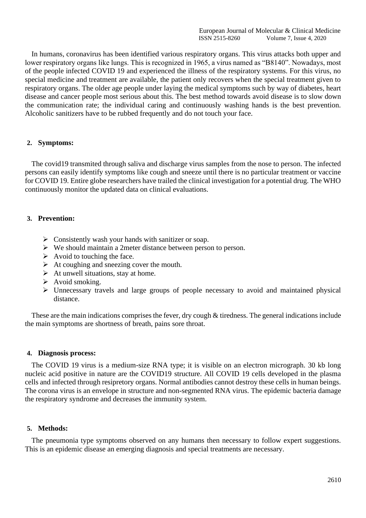In humans, coronavirus has been identified various respiratory organs. This virus attacks both upper and lower respiratory organs like lungs. This is recognized in 1965, a virus named as "B8140". Nowadays, most of the people infected COVID 19 and experienced the illness of the respiratory systems. For this virus, no special medicine and treatment are available, the patient only recovers when the special treatment given to respiratory organs. The older age people under laying the medical symptoms such by way of diabetes, heart disease and cancer people most serious about this. The best method towards avoid disease is to slow down the communication rate; the individual caring and continuously washing hands is the best prevention. Alcoholic sanitizers have to be rubbed frequently and do not touch your face.

# **2. Symptoms:**

The covid19 transmited through saliva and discharge virus samples from the nose to person. The infected persons can easily identify symptoms like cough and sneeze until there is no particular treatment or vaccine for COVID 19. Entire globe researchers have trailed the clinical investigation for a potential drug. The WHO continuously monitor the updated data on clinical evaluations.

# **3. Prevention:**

- ➢ Consistently wash your hands with sanitizer or soap.
- ➢ We should maintain a 2meter distance between person to person.
- $\triangleright$  Avoid to touching the face.
- $\triangleright$  At coughing and sneezing cover the mouth.
- $\triangleright$  At unwell situations, stay at home.
- $\triangleright$  Avoid smoking.
- ➢ Unnecessary travels and large groups of people necessary to avoid and maintained physical distance.

These are the main indications comprises the fever, dry cough & tiredness. The general indications include the main symptoms are shortness of breath, pains sore throat.

#### **4. Diagnosis process:**

The COVID 19 virus is a medium-size RNA type; it is visible on an electron micrograph. 30 kb long nucleic acid positive in nature are the COVID19 structure. All COVID 19 cells developed in the plasma cells and infected through resipretory organs. Normal antibodies cannot destroy these cells in human beings. The corona virus is an envelope in structure and non-segmented RNA virus. The epidemic bacteria damage the respiratory syndrome and decreases the immunity system.

#### **5. Methods:**

The pneumonia type symptoms observed on any humans then necessary to follow expert suggestions. This is an epidemic disease an emerging diagnosis and special treatments are necessary.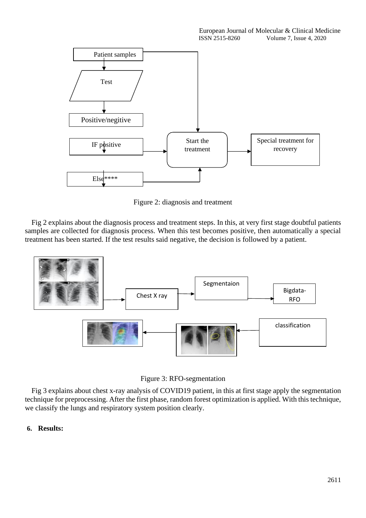

Figure 2: diagnosis and treatment

Fig 2 explains about the diagnosis process and treatment steps. In this, at very first stage doubtful patients samples are collected for diagnosis process. When this test becomes positive, then automatically a special treatment has been started. If the test results said negative, the decision is followed by a patient.



Figure 3: RFO-segmentation

Fig 3 explains about chest x-ray analysis of COVID19 patient, in this at first stage apply the segmentation technique for preprocessing. After the first phase, random forest optimization is applied. With this technique, we classify the lungs and respiratory system position clearly.

# **6. Results:**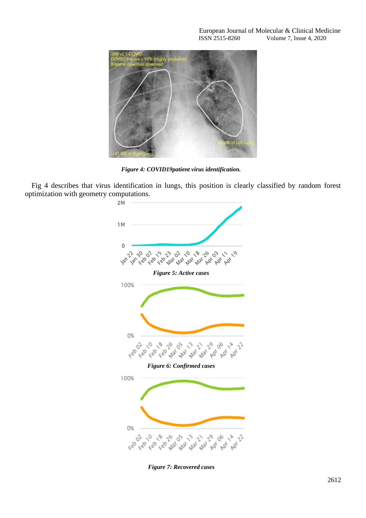

*Figure 4: COVID19patient virus identification.*

Fig 4 describes that virus identification in lungs, this position is clearly classified by random forest optimization with geometry computations.



*Figure 7: Recovered cases*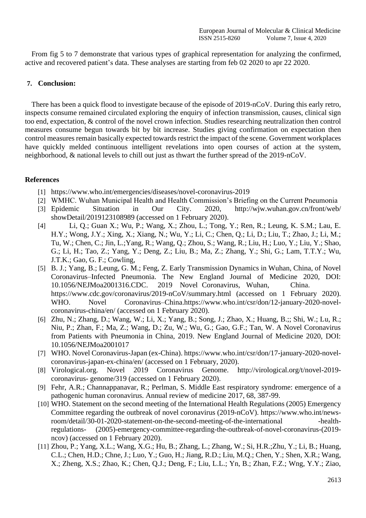From fig 5 to 7 demonstrate that various types of graphical representation for analyzing the confirmed, active and recovered patient's data. These analyses are starting from feb 02 2020 to apr 22 2020.

# **7. Conclusion:**

There has been a quick flood to investigate because of the episode of 2019-nCoV. During this early retro, inspects consume remained circulated exploring the enquiry of infection transmission, causes, clinical sign too end, expectation, & control of the novel crown infection. Studies researching neutralization then control measures consume begun towards bit by bit increase. Studies giving confirmation on expectation then control measures remain basically expected towards restrict the impact of the scene. Government workplaces have quickly melded continuous intelligent revelations into open courses of action at the system, neighborhood, & national levels to chill out just as thwart the further spread of the 2019-nCoV.

# **References**

- [1] <https://www.who.int/emergencies/diseases/novel-coronavirus-2019>
- [2] WMHC. Wuhan Municipal Health and Health Commission's Briefing on the Current Pneumonia
- [3] Epidemic Situation in Our City. 2020, <http://wjw.wuhan.gov.cn/front/web/> showDetail/2019123108989 (accessed on 1 February 2020).
- [4] Li, Q.; Guan X.; Wu, P.; Wang, X.; Zhou, L.; Tong, Y.; Ren, R.; Leung, K. S.M.; Lau, E. H.Y.; Wong, J.Y.; Xing, X.; Xiang, N.; Wu, Y.; Li, C.; Chen, Q.; Li, D.; Liu, T.; Zhao, J.; Li, M.; Tu, W.; Chen, C.; Jin, L.;Yang, R.; Wang, Q.; Zhou, S.; Wang, R.; Liu, H.; Luo, Y.; Liu, Y.; Shao, G.; Li, H.; Tao, Z.; Yang, Y.; Deng, Z.; Liu, B.; Ma, Z.; Zhang, Y.; Shi, G.; Lam, T.T.Y.; Wu, J.T.K.; Gao, G. F.; Cowling,
- [5] B. J.; Yang, B.; Leung, G. M.; Feng, Z. Early Transmission Dynamics in Wuhan, China, of Novel Coronavirus–Infected Pneumonia. The New England Journal of Medicine 2020, DOI: 10.1056/NEJMoa2001316.CDC. 2019 Novel Coronavirus, Wuhan, China. https:/[/www.cdc.gov/coronavirus/2019-nCoV/summary.html](http://www.cdc.gov/coronavirus/2019-nCoV/summary.html) (accessed on 1 February 2020). WHO. Novel Coronavirus–China.https:/[/www.who.int/csr/don/12-january-2020-novel](http://www.who.int/csr/don/12-january-2020-novel-coronavirus-china/en/)[coronavirus-china/en/](http://www.who.int/csr/don/12-january-2020-novel-coronavirus-china/en/) (accessed on 1 February 2020).
- [6] Zhu, N.; Zhang, D.; Wang, W.; Li, X.; Yang, B.; Song, J.; Zhao, X.; Huang, B.;; Shi, W.; Lu, R.; Niu, P.; Zhan, F.; Ma, Z.; Wang, D.; Zu, W.; Wu, G.; Gao, G.F.; Tan, W. A Novel Coronavirus from Patients with Pneumonia in China, 2019. New England Journal of Medicine 2020, DOI: 10.1056/NEJMoa2001017
- [7] WHO. Novel Coronavirus-Japan (ex-China). https:/[/www.who.int/csr/don/17-january-2020-novel](http://www.who.int/csr/don/17-january-2020-novel-)coronavirus-japan-ex-china/en/ (accessed on 1 February, 2020).
- [8] Virological.org. Novel 2019 Coronavirus Genome. [http://virological.org/t/novel-2019](http://virological.org/t/novel-2019-coronavirus-) [coronavirus-](http://virological.org/t/novel-2019-coronavirus-) genome/319 (accessed on 1 February 2020).
- [9] Fehr, A.R.; Channappanavar, R.; Perlman, S. Middle East respiratory syndrome: emergence of a pathogenic human coronavirus. Annual review of medicine 2017, 68, 387-99.
- [10] WHO. Statement on the second meeting of the International Health Regulations (2005) Emergency Committee regarding the outbreak of novel coronavirus (2019-nCoV). [https://www.who.int/news](https://www.who.int/news-room/detail/30-01-2020-statement-on-the-second-meeting-of-the-international)[room/detail/30-01-2020-statement-on-the-second-meeting-of-the-international -](https://www.who.int/news-room/detail/30-01-2020-statement-on-the-second-meeting-of-the-international)healthregulations- (2005)-emergency-committee-regarding-the-outbreak-of-novel-coronavirus-(2019 ncov) (accessed on 1 February 2020).
- [11] Zhou, P.; Yang, X.L.; Wang, X.G.; Hu, B.; Zhang, L.; Zhang, W.; Si, H.R.;Zhu, Y.; Li, B.; Huang, C.L.; Chen, H.D.; Chne, J.; Luo, Y.; Guo, H.; Jiang, R.D.; Liu, M.Q.; Chen, Y.; Shen, X.R.; Wang, X.; Zheng, X.S.; Zhao, K.; Chen, Q.J.; Deng, F.; Liu, L.L.; Yn, B.; Zhan, F.Z.; Wng, Y.Y.; Ziao,